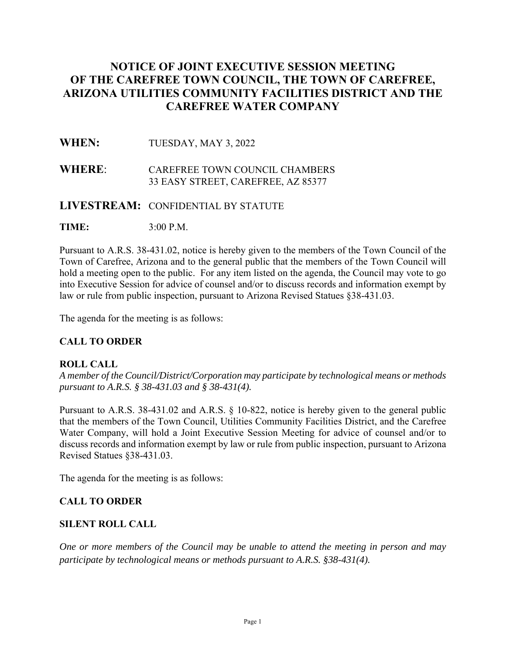# **NOTICE OF JOINT EXECUTIVE SESSION MEETING OF THE CAREFREE TOWN COUNCIL, THE TOWN OF CAREFREE, ARIZONA UTILITIES COMMUNITY FACILITIES DISTRICT AND THE CAREFREE WATER COMPANY**

## **WHEN:** TUESDAY, MAY 3, 2022

## **WHERE**: CAREFREE TOWN COUNCIL CHAMBERS 33 EASY STREET, CAREFREE, AZ 85377

#### **LIVESTREAM:** CONFIDENTIAL BY STATUTE

**TIME:** 3:00 P.M.

Pursuant to A.R.S. 38-431.02, notice is hereby given to the members of the Town Council of the Town of Carefree, Arizona and to the general public that the members of the Town Council will hold a meeting open to the public. For any item listed on the agenda, the Council may vote to go into Executive Session for advice of counsel and/or to discuss records and information exempt by law or rule from public inspection, pursuant to Arizona Revised Statues §38-431.03.

The agenda for the meeting is as follows:

## **CALL TO ORDER**

#### **ROLL CALL**

*A member of the Council/District/Corporation may participate by technological means or methods pursuant to A.R.S. § 38-431.03 and § 38-431(4).* 

Pursuant to A.R.S. 38-431.02 and A.R.S. § 10-822, notice is hereby given to the general public that the members of the Town Council, Utilities Community Facilities District, and the Carefree Water Company, will hold a Joint Executive Session Meeting for advice of counsel and/or to discuss records and information exempt by law or rule from public inspection, pursuant to Arizona Revised Statues §38-431.03.

The agenda for the meeting is as follows:

#### **CALL TO ORDER**

#### **SILENT ROLL CALL**

*One or more members of the Council may be unable to attend the meeting in person and may participate by technological means or methods pursuant to A.R.S. §38-431(4).*